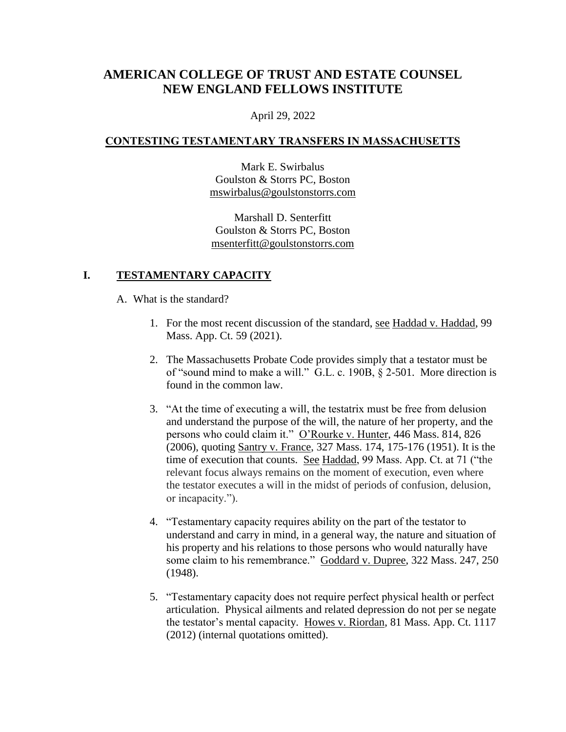# **AMERICAN COLLEGE OF TRUST AND ESTATE COUNSEL NEW ENGLAND FELLOWS INSTITUTE**

April 29, 2022

#### **CONTESTING TESTAMENTARY TRANSFERS IN MASSACHUSETTS**

Mark E. Swirbalus Goulston & Storrs PC, Boston [mswirbalus@goulstonstorrs.com](mailto:mswirbalus@goulstonstorrs.com)

Marshall D. Senterfitt Goulston & Storrs PC, Boston [msenterfitt@goulstonstorrs.com](mailto:msenterfitt@goulstonstorrs.com)

### **I. TESTAMENTARY CAPACITY**

A. What is the standard?

- 1. For the most recent discussion of the standard, see Haddad v. Haddad, 99 Mass. App. Ct. 59 (2021).
- 2. The Massachusetts Probate Code provides simply that a testator must be of "sound mind to make a will." G.L. c. 190B, § 2-501. More direction is found in the common law.
- 3. "At the time of executing a will, the testatrix must be free from delusion and understand the purpose of the will, the nature of her property, and the persons who could claim it." O'Rourke v. Hunter, 446 Mass. 814, 826 (2006), quoting Santry v. France, 327 Mass. 174, 175-176 (1951). It is the time of execution that counts. See Haddad, 99 Mass. App. Ct. at 71 ("the relevant focus always remains on the moment of execution, even where the testator executes a will in the midst of periods of confusion, delusion, or incapacity.").
- 4. "Testamentary capacity requires ability on the part of the testator to understand and carry in mind, in a general way, the nature and situation of his property and his relations to those persons who would naturally have some claim to his remembrance." Goddard v. Dupree, 322 Mass. 247, 250 (1948).
- 5. "Testamentary capacity does not require perfect physical health or perfect articulation. Physical ailments and related depression do not per se negate the testator's mental capacity. Howes v. Riordan, 81 Mass. App. Ct. 1117 (2012) (internal quotations omitted).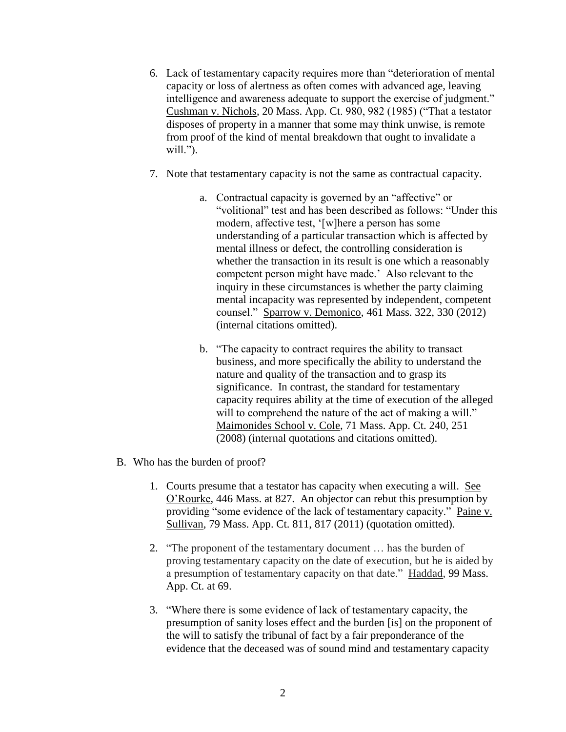- 6. Lack of testamentary capacity requires more than "deterioration of mental capacity or loss of alertness as often comes with advanced age, leaving intelligence and awareness adequate to support the exercise of judgment." Cushman v. Nichols, 20 Mass. App. Ct. 980, 982 (1985) ("That a testator disposes of property in a manner that some may think unwise, is remote from proof of the kind of mental breakdown that ought to invalidate a will.").
- 7. Note that testamentary capacity is not the same as contractual capacity.
	- a. Contractual capacity is governed by an "affective" or "volitional" test and has been described as follows: "Under this modern, affective test, '[w]here a person has some understanding of a particular transaction which is affected by mental illness or defect, the controlling consideration is whether the transaction in its result is one which a reasonably competent person might have made.' Also relevant to the inquiry in these circumstances is whether the party claiming mental incapacity was represented by independent, competent counsel." Sparrow v. Demonico, 461 Mass. 322, 330 (2012) (internal citations omitted).
	- b. "The capacity to contract requires the ability to transact business, and more specifically the ability to understand the nature and quality of the transaction and to grasp its significance. In contrast, the standard for testamentary capacity requires ability at the time of execution of the alleged will to comprehend the nature of the act of making a will." Maimonides School v. Cole, 71 Mass. App. Ct. 240, 251 (2008) (internal quotations and citations omitted).
- B. Who has the burden of proof?
	- 1. Courts presume that a testator has capacity when executing a will. See O'Rourke, 446 Mass. at 827. An objector can rebut this presumption by providing "some evidence of the lack of testamentary capacity." Paine v. Sullivan, 79 Mass. App. Ct. 811, 817 (2011) (quotation omitted).
	- 2. "The proponent of the testamentary document … has the burden of proving testamentary capacity on the date of execution, but he is aided by a presumption of testamentary capacity on that date." Haddad, 99 Mass. App. Ct. at 69.
	- 3. "Where there is some evidence of lack of testamentary capacity, the presumption of sanity loses effect and the burden [is] on the proponent of the will to satisfy the tribunal of fact by a fair preponderance of the evidence that the deceased was of sound mind and testamentary capacity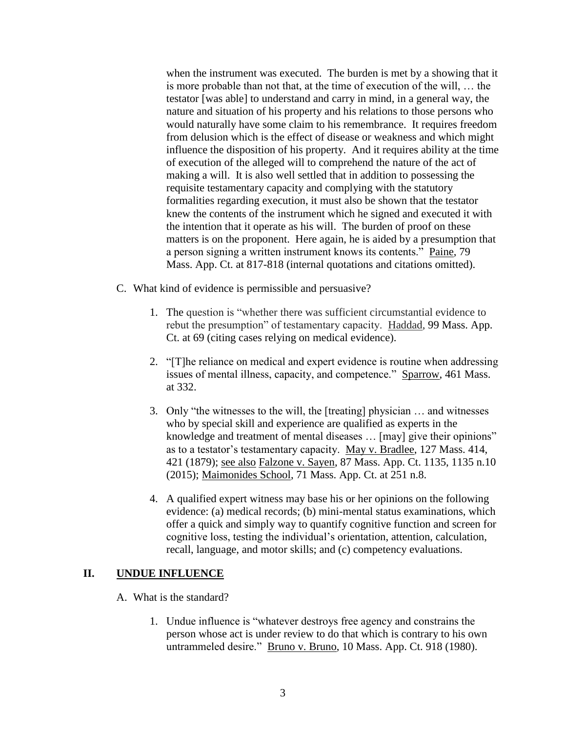when the instrument was executed. The burden is met by a showing that it is more probable than not that, at the time of execution of the will, … the testator [was able] to understand and carry in mind, in a general way, the nature and situation of his property and his relations to those persons who would naturally have some claim to his remembrance. It requires freedom from delusion which is the effect of disease or weakness and which might influence the disposition of his property. And it requires ability at the time of execution of the alleged will to comprehend the nature of the act of making a will. It is also well settled that in addition to possessing the requisite testamentary capacity and complying with the statutory formalities regarding execution, it must also be shown that the testator knew the contents of the instrument which he signed and executed it with the intention that it operate as his will. The burden of proof on these matters is on the proponent. Here again, he is aided by a presumption that a person signing a written instrument knows its contents." Paine, 79 Mass. App. Ct. at 817-818 (internal quotations and citations omitted).

- C. What kind of evidence is permissible and persuasive?
	- 1. The question is "whether there was sufficient circumstantial evidence to rebut the presumption" of testamentary capacity. Haddad, 99 Mass. App. Ct. at 69 (citing cases relying on medical evidence).
	- 2. "[T]he reliance on medical and expert evidence is routine when addressing issues of mental illness, capacity, and competence." Sparrow, 461 Mass. at 332.
	- 3. Only "the witnesses to the will, the [treating] physician … and witnesses who by special skill and experience are qualified as experts in the knowledge and treatment of mental diseases … [may] give their opinions" as to a testator's testamentary capacity. May v. Bradlee, 127 Mass. 414, 421 (1879); see also Falzone v. Sayen, 87 Mass. App. Ct. 1135, 1135 n.10 (2015); Maimonides School, 71 Mass. App. Ct. at 251 n.8.
	- 4. A qualified expert witness may base his or her opinions on the following evidence: (a) medical records; (b) mini-mental status examinations, which offer a quick and simply way to quantify cognitive function and screen for cognitive loss, testing the individual's orientation, attention, calculation, recall, language, and motor skills; and (c) competency evaluations.

#### **II. UNDUE INFLUENCE**

- A. What is the standard?
	- 1. Undue influence is "whatever destroys free agency and constrains the person whose act is under review to do that which is contrary to his own untrammeled desire." Bruno v. Bruno, 10 Mass. App. Ct. 918 (1980).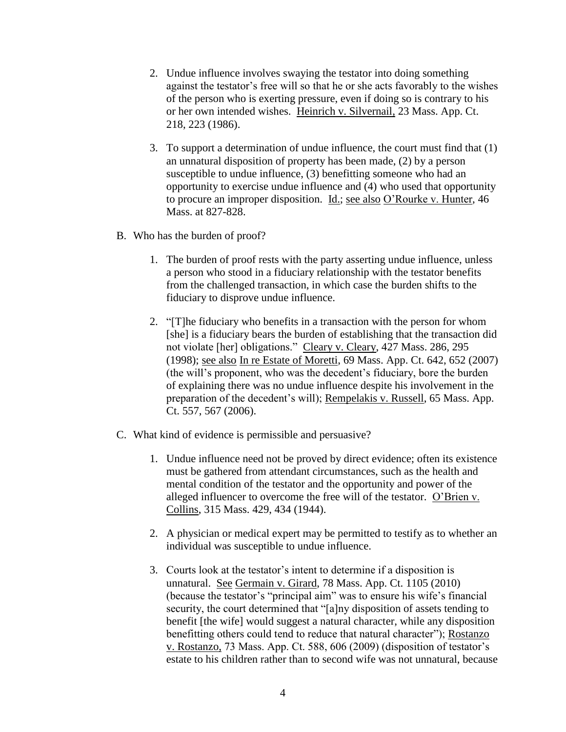- 2. Undue influence involves swaying the testator into doing something against the testator's free will so that he or she acts favorably to the wishes of the person who is exerting pressure, even if doing so is contrary to his or her own intended wishes. Heinrich v. Silvernail, 23 Mass. App. Ct. 218, 223 (1986).
- 3. To support a determination of undue influence, the court must find that (1) an unnatural disposition of property has been made, (2) by a person susceptible to undue influence, (3) benefitting someone who had an opportunity to exercise undue influence and (4) who used that opportunity to procure an improper disposition. Id.; see also O'Rourke v. Hunter, 46 Mass. at 827-828.
- B. Who has the burden of proof?
	- 1. The burden of proof rests with the party asserting undue influence, unless a person who stood in a fiduciary relationship with the testator benefits from the challenged transaction, in which case the burden shifts to the fiduciary to disprove undue influence.
	- 2. "[T]he fiduciary who benefits in a transaction with the person for whom [she] is a fiduciary bears the burden of establishing that the transaction did not violate [her] obligations." Cleary v. Cleary, 427 Mass. 286, 295 (1998); see also In re Estate of Moretti, 69 Mass. App. Ct. 642, 652 (2007) (the will's proponent, who was the decedent's fiduciary, bore the burden of explaining there was no undue influence despite his involvement in the preparation of the decedent's will); Rempelakis v. Russell, 65 Mass. App. Ct. 557, 567 (2006).
- C. What kind of evidence is permissible and persuasive?
	- 1. Undue influence need not be proved by direct evidence; often its existence must be gathered from attendant circumstances, such as the health and mental condition of the testator and the opportunity and power of the alleged influencer to overcome the free will of the testator. O'Brien v. Collins, 315 Mass. 429, 434 (1944).
	- 2. A physician or medical expert may be permitted to testify as to whether an individual was susceptible to undue influence.
	- 3. Courts look at the testator's intent to determine if a disposition is unnatural. See Germain v. Girard, 78 Mass. App. Ct. 1105 (2010) (because the testator's "principal aim" was to ensure his wife's financial security, the court determined that "[a]ny disposition of assets tending to benefit [the wife] would suggest a natural character, while any disposition benefitting others could tend to reduce that natural character"); Rostanzo v. Rostanzo, 73 Mass. App. Ct. 588, 606 (2009) (disposition of testator's estate to his children rather than to second wife was not unnatural, because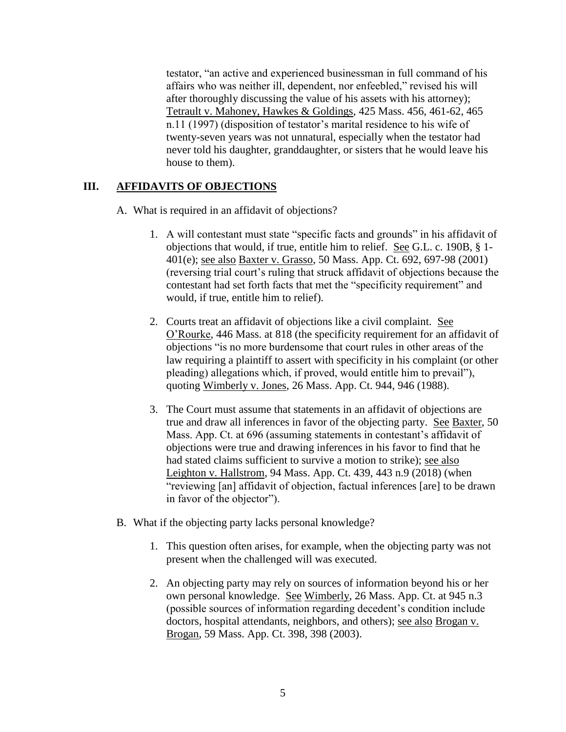testator, "an active and experienced businessman in full command of his affairs who was neither ill, dependent, nor enfeebled," revised his will after thoroughly discussing the value of his assets with his attorney); Tetrault v. Mahoney, Hawkes & Goldings, 425 Mass. 456, 461-62, 465 n.11 (1997) (disposition of testator's marital residence to his wife of twenty-seven years was not unnatural, especially when the testator had never told his daughter, granddaughter, or sisters that he would leave his house to them).

#### **III. AFFIDAVITS OF OBJECTIONS**

- A. What is required in an affidavit of objections?
	- 1. A will contestant must state "specific facts and grounds" in his affidavit of objections that would, if true, entitle him to relief. See G.L. c. 190B, § 1- 401(e); see also Baxter v. Grasso, 50 Mass. App. Ct. 692, 697-98 (2001) (reversing trial court's ruling that struck affidavit of objections because the contestant had set forth facts that met the "specificity requirement" and would, if true, entitle him to relief).
	- 2. Courts treat an affidavit of objections like a civil complaint. See O'Rourke, 446 Mass. at 818 (the specificity requirement for an affidavit of objections "is no more burdensome that court rules in other areas of the law requiring a plaintiff to assert with specificity in his complaint (or other pleading) allegations which, if proved, would entitle him to prevail"), quoting Wimberly v. Jones, 26 Mass. App. Ct. 944, 946 (1988).
	- 3. The Court must assume that statements in an affidavit of objections are true and draw all inferences in favor of the objecting party. See Baxter, 50 Mass. App. Ct. at 696 (assuming statements in contestant's affidavit of objections were true and drawing inferences in his favor to find that he had stated claims sufficient to survive a motion to strike); see also Leighton v. Hallstrom, 94 Mass. App. Ct. 439, 443 n.9 (2018) (when "reviewing [an] affidavit of objection, factual inferences [are] to be drawn in favor of the objector").
- B. What if the objecting party lacks personal knowledge?
	- 1. This question often arises, for example, when the objecting party was not present when the challenged will was executed.
	- 2. An objecting party may rely on sources of information beyond his or her own personal knowledge. See Wimberly, 26 Mass. App. Ct. at 945 n.3 (possible sources of information regarding decedent's condition include doctors, hospital attendants, neighbors, and others); see also Brogan v. Brogan, 59 Mass. App. Ct. 398, 398 (2003).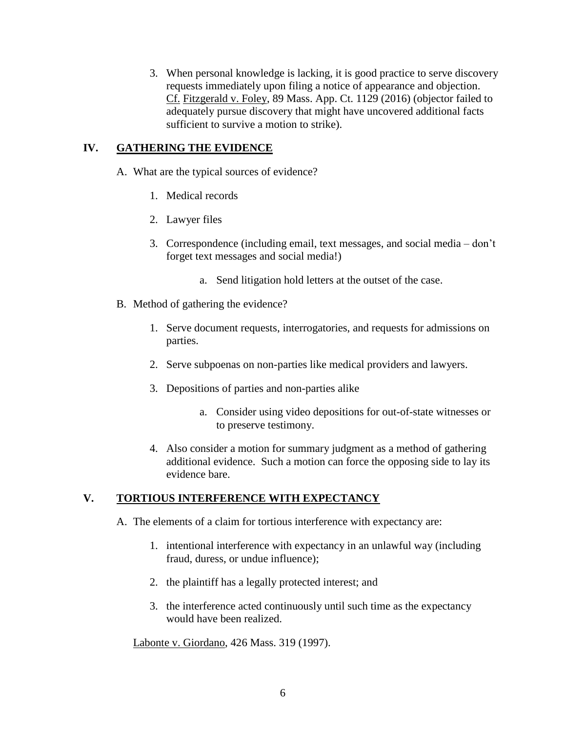3. When personal knowledge is lacking, it is good practice to serve discovery requests immediately upon filing a notice of appearance and objection. Cf. Fitzgerald v. Foley, 89 Mass. App. Ct. 1129 (2016) (objector failed to adequately pursue discovery that might have uncovered additional facts sufficient to survive a motion to strike).

#### **IV. GATHERING THE EVIDENCE**

- A. What are the typical sources of evidence?
	- 1. Medical records
	- 2. Lawyer files
	- 3. Correspondence (including email, text messages, and social media don't forget text messages and social media!)
		- a. Send litigation hold letters at the outset of the case.
- B. Method of gathering the evidence?
	- 1. Serve document requests, interrogatories, and requests for admissions on parties.
	- 2. Serve subpoenas on non-parties like medical providers and lawyers.
	- 3. Depositions of parties and non-parties alike
		- a. Consider using video depositions for out-of-state witnesses or to preserve testimony.
	- 4. Also consider a motion for summary judgment as a method of gathering additional evidence. Such a motion can force the opposing side to lay its evidence bare.

## **V. TORTIOUS INTERFERENCE WITH EXPECTANCY**

- A. The elements of a claim for tortious interference with expectancy are:
	- 1. intentional interference with expectancy in an unlawful way (including fraud, duress, or undue influence);
	- 2. the plaintiff has a legally protected interest; and
	- 3. the interference acted continuously until such time as the expectancy would have been realized.

Labonte v. Giordano, 426 Mass. 319 (1997).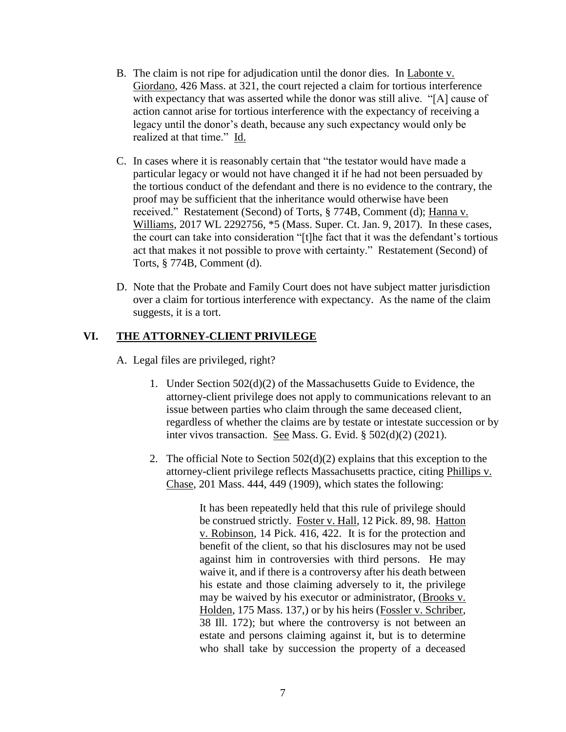- B. The claim is not ripe for adjudication until the donor dies. In Labonte v. Giordano, 426 Mass. at 321, the court rejected a claim for tortious interference with expectancy that was asserted while the donor was still alive. "[A] cause of action cannot arise for tortious interference with the expectancy of receiving a legacy until the donor's death, because any such expectancy would only be realized at that time." Id.
- C. In cases where it is reasonably certain that "the testator would have made a particular legacy or would not have changed it if he had not been persuaded by the tortious conduct of the defendant and there is no evidence to the contrary, the proof may be sufficient that the inheritance would otherwise have been received." Restatement (Second) of Torts, § 774B, Comment (d); Hanna v. Williams, 2017 WL 2292756, \*5 (Mass. Super. Ct. Jan. 9, 2017). In these cases, the court can take into consideration "[t]he fact that it was the defendant's tortious act that makes it not possible to prove with certainty." Restatement (Second) of Torts, § 774B, Comment (d).
- D. Note that the Probate and Family Court does not have subject matter jurisdiction over a claim for tortious interference with expectancy. As the name of the claim suggests, it is a tort.

#### **VI. THE ATTORNEY-CLIENT PRIVILEGE**

A. Legal files are privileged, right?

- 1. Under Section 502(d)(2) of the Massachusetts Guide to Evidence, the attorney-client privilege does not apply to communications relevant to an issue between parties who claim through the same deceased client, regardless of whether the claims are by testate or intestate succession or by inter vivos transaction. See Mass. G. Evid. § 502(d)(2) (2021).
- 2. The official Note to Section 502(d)(2) explains that this exception to the attorney-client privilege reflects Massachusetts practice, citing Phillips v. Chase, 201 Mass. 444, 449 (1909), which states the following:

It has been repeatedly held that this rule of privilege should be construed strictly. Foster v. Hall, 12 Pick. 89, 98. Hatton v. Robinson, 14 Pick. 416, 422. It is for the protection and benefit of the client, so that his disclosures may not be used against him in controversies with third persons. He may waive it, and if there is a controversy after his death between his estate and those claiming adversely to it, the privilege may be waived by his executor or administrator, (Brooks v. Holden, 175 Mass. 137,) or by his heirs (Fossler v. Schriber, 38 Ill. 172); but where the controversy is not between an estate and persons claiming against it, but is to determine who shall take by succession the property of a deceased